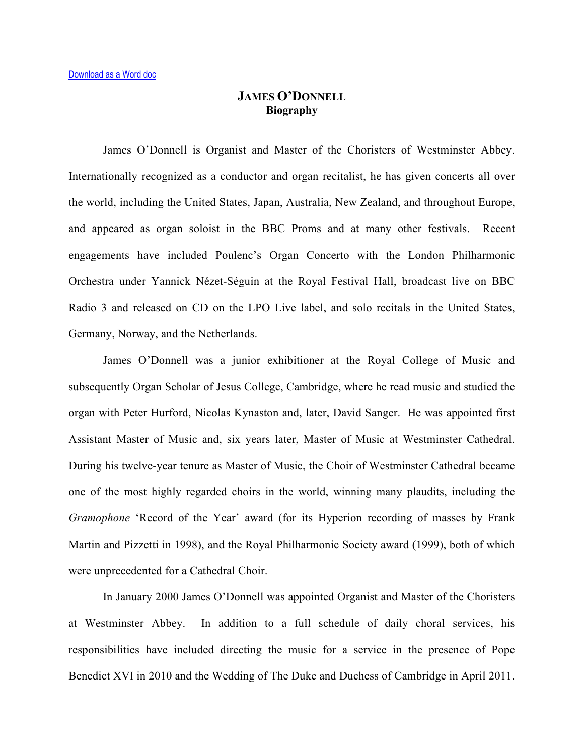## **JAMES O'DONNELL Biography**

James O'Donnell is Organist and Master of the Choristers of Westminster Abbey. Internationally recognized as a conductor and organ recitalist, he has given concerts all over the world, including the United States, Japan, Australia, New Zealand, and throughout Europe, and appeared as organ soloist in the BBC Proms and at many other festivals. Recent engagements have included Poulenc's Organ Concerto with the London Philharmonic Orchestra under Yannick Nézet-Séguin at the Royal Festival Hall, broadcast live on BBC Radio 3 and released on CD on the LPO Live label, and solo recitals in the United States, Germany, Norway, and the Netherlands.

James O'Donnell was a junior exhibitioner at the Royal College of Music and subsequently Organ Scholar of Jesus College, Cambridge, where he read music and studied the organ with Peter Hurford, Nicolas Kynaston and, later, David Sanger. He was appointed first Assistant Master of Music and, six years later, Master of Music at Westminster Cathedral. During his twelve-year tenure as Master of Music, the Choir of Westminster Cathedral became one of the most highly regarded choirs in the world, winning many plaudits, including the *Gramophone* 'Record of the Year' award (for its Hyperion recording of masses by Frank Martin and Pizzetti in 1998), and the Royal Philharmonic Society award (1999), both of which were unprecedented for a Cathedral Choir.

In January 2000 James O'Donnell was appointed Organist and Master of the Choristers at Westminster Abbey. In addition to a full schedule of daily choral services, his responsibilities have included directing the music for a service in the presence of Pope Benedict XVI in 2010 and the Wedding of The Duke and Duchess of Cambridge in April 2011.